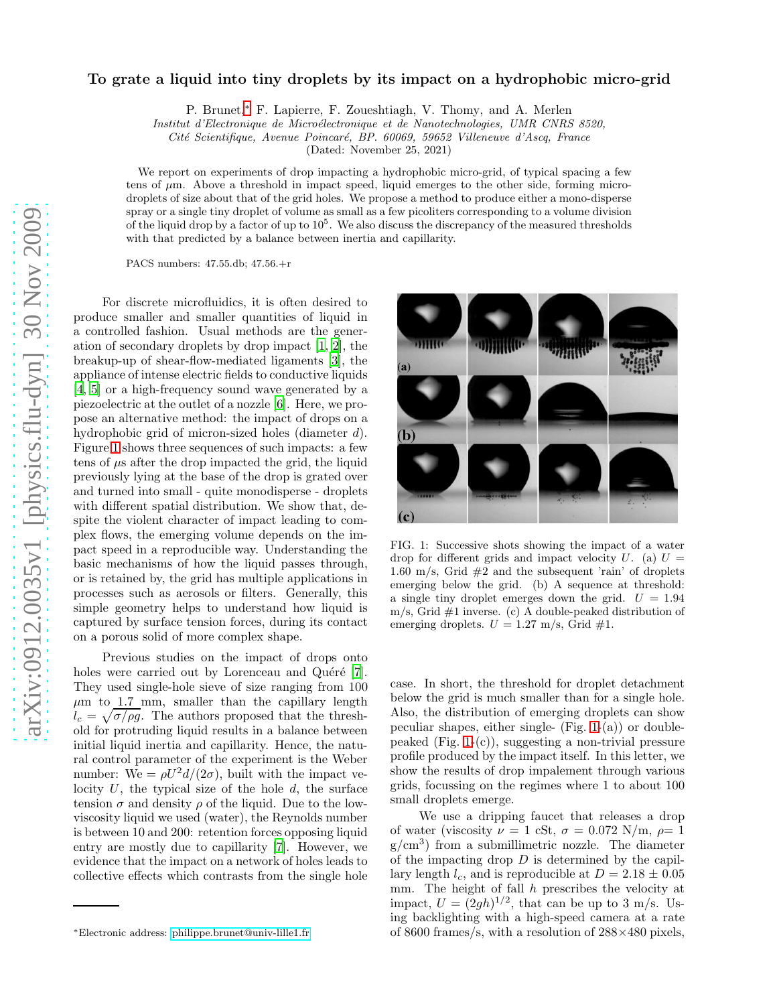## To grate a liquid into tiny droplets by its impact on a hydrophobic micro-grid

P. Brunet,[∗](#page-0-0) F. Lapierre, F. Zoueshtiagh, V. Thomy, and A. Merlen

Institut d'Electronique de Microélectronique et de Nanotechnologies, UMR CNRS 8520,

Cité Scientifique, Avenue Poincaré, BP. 60069, 59652 Villeneuve d'Ascq, France

(Dated: November 25, 2021)

We report on experiments of drop impacting a hydrophobic micro-grid, of typical spacing a few tens of  $\mu$ m. Above a threshold in impact speed, liquid emerges to the other side, forming microdroplets of size about that of the grid holes. We propose a method to produce either a mono-disperse spray or a single tiny droplet of volume as small as a few picoliters corresponding to a volume division of the liquid drop by a factor of up to  $10^5$ . We also discuss the discrepancy of the measured thresholds with that predicted by a balance between inertia and capillarity.

PACS numbers: 47.55.db; 47.56.+r

For discrete microfluidics, it is often desired to produce smaller and smaller quantities of liquid in a controlled fashion. Usual methods are the generation of secondary droplets by drop impact [\[1](#page-2-0), [2](#page-2-1)], the breakup-up of shear-flow-mediated ligaments [\[3\]](#page-2-2), the appliance of intense electric fields to conductive liquids [\[4,](#page-2-3) [5\]](#page-2-4) or a high-frequency sound wave generated by a piezoelectric at the outlet of a nozzle [\[6](#page-2-5)]. Here, we propose an alternative method: the impact of drops on a hydrophobic grid of micron-sized holes (diameter d). Figure [1](#page-0-1) shows three sequences of such impacts: a few tens of  $\mu$ s after the drop impacted the grid, the liquid previously lying at the base of the drop is grated over and turned into small - quite monodisperse - droplets with different spatial distribution. We show that, despite the violent character of impact leading to complex flows, the emerging volume depends on the impact speed in a reproducible way. Understanding the basic mechanisms of how the liquid passes through, or is retained by, the grid has multiple applications in processes such as aerosols or filters. Generally, this simple geometry helps to understand how liquid is captured by surface tension forces, during its contact on a porous solid of more complex shape.

Previous studies on the impact of drops onto holes were carried out by Lorenceau and Quéré [\[7](#page-2-6)]. They used single-hole sieve of size ranging from 100  $\mu$ m to 1.7 mm, smaller than the capillary length  $l_c = \sqrt{\sigma/\rho g}$ . The authors proposed that the threshold for protruding liquid results in a balance between initial liquid inertia and capillarity. Hence, the natural control parameter of the experiment is the Weber number: We =  $\rho U^2 d/(2\sigma)$ , built with the impact velocity  $U$ , the typical size of the hole  $d$ , the surface tension  $\sigma$  and density  $\rho$  of the liquid. Due to the lowviscosity liquid we used (water), the Reynolds number is between 10 and 200: retention forces opposing liquid entry are mostly due to capillarity [\[7\]](#page-2-6). However, we evidence that the impact on a network of holes leads to collective effects which contrasts from the single hole



<span id="page-0-1"></span>FIG. 1: Successive shots showing the impact of a water drop for different grids and impact velocity  $U$ . (a)  $U =$ 1.60 m/s, Grid  $#2$  and the subsequent 'rain' of droplets emerging below the grid. (b) A sequence at threshold: a single tiny droplet emerges down the grid.  $U = 1.94$  $m/s$ , Grid  $#1$  inverse. (c) A double-peaked distribution of emerging droplets.  $U = 1.27$  m/s, Grid #1.

case. In short, the threshold for droplet detachment below the grid is much smaller than for a single hole. Also, the distribution of emerging droplets can show peculiar shapes, either single-  $(Fig. 1-(a))$  $(Fig. 1-(a))$  $(Fig. 1-(a))$  or doublepeaked (Fig.  $1-(c)$ ), suggesting a non-trivial pressure profile produced by the impact itself. In this letter, we show the results of drop impalement through various grids, focussing on the regimes where 1 to about 100 small droplets emerge.

We use a dripping faucet that releases a drop of water (viscosity  $\nu = 1$  cSt,  $\sigma = 0.072$  N/m,  $\rho = 1$ g/cm<sup>3</sup> ) from a submillimetric nozzle. The diameter of the impacting drop  $D$  is determined by the capillary length  $l_c$ , and is reproducible at  $D = 2.18 \pm 0.05$ mm. The height of fall  $h$  prescribes the velocity at impact,  $U = (2gh)^{1/2}$ , that can be up to 3 m/s. Using backlighting with a high-speed camera at a rate of 8600 frames/s, with a resolution of  $288\times480$  pixels,

<span id="page-0-0"></span><sup>∗</sup>Electronic address: [philippe.brunet@univ-lille1.fr](mailto:philippe.brunet@univ-lille1.fr)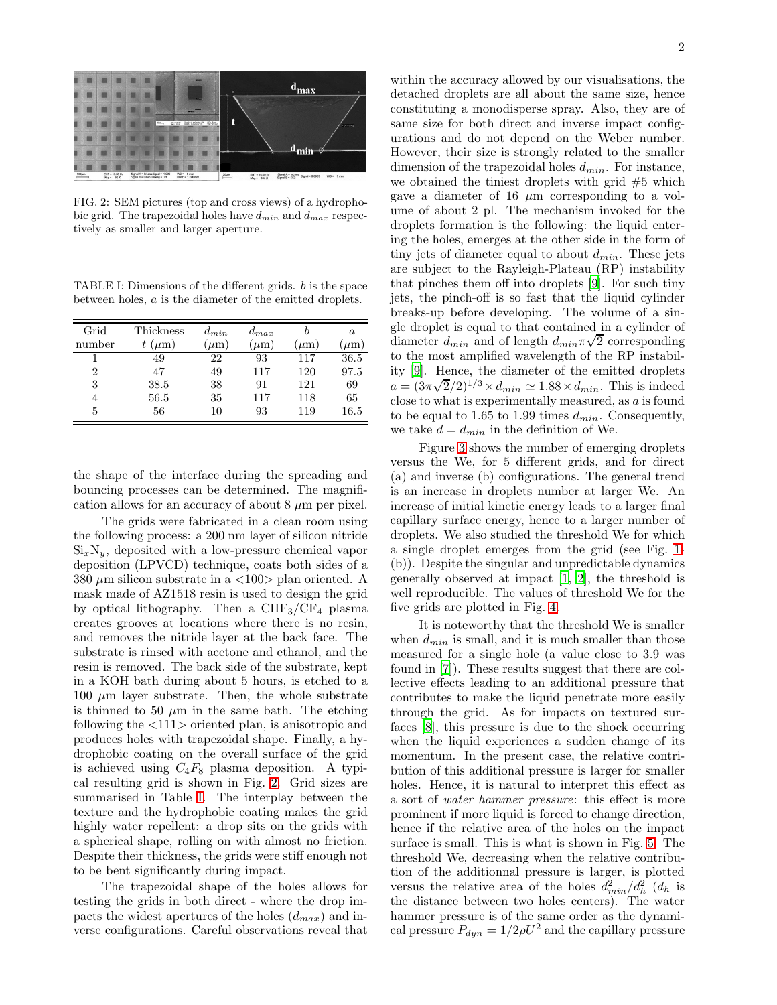

<span id="page-1-0"></span>FIG. 2: SEM pictures (top and cross views) of a hydrophobic grid. The trapezoidal holes have  $d_{min}$  and  $d_{max}$  respectively as smaller and larger aperture.

<span id="page-1-1"></span>TABLE I: Dimensions of the different grids. b is the space between holes, a is the diameter of the emitted droplets.

| Grid           | Thickness | $d_{min}$ | $d_{max}$ |          | a       |
|----------------|-----------|-----------|-----------|----------|---------|
| number         | $(\mu m)$ | $\mu$ m   | $\mu$ m   | $\mu$ m) | $\mu$ m |
|                | 49        | 22        | 93        | 117      | 36.5    |
| $\overline{2}$ | 47        | 49        | 117       | 120      | 97.5    |
| 3              | 38.5      | 38        | 91        | 121      | 69      |
| 4              | 56.5      | 35        | 117       | 118      | 65      |
| 5              | 56        | 10        | 93        | 119      | 16.5    |

the shape of the interface during the spreading and bouncing processes can be determined. The magnification allows for an accuracy of about  $8 \mu m$  per pixel.

The grids were fabricated in a clean room using the following process: a 200 nm layer of silicon nitride  $\mathrm{Si}_x\mathrm{N}_y$ , deposited with a low-pressure chemical vapor deposition (LPVCD) technique, coats both sides of a 380  $\mu$ m silicon substrate in a <100> plan oriented. A mask made of AZ1518 resin is used to design the grid by optical lithography. Then a  $CHF_3/CF_4$  plasma creates grooves at locations where there is no resin, and removes the nitride layer at the back face. The substrate is rinsed with acetone and ethanol, and the resin is removed. The back side of the substrate, kept in a KOH bath during about 5 hours, is etched to a  $100 \mu m$  layer substrate. Then, the whole substrate is thinned to 50  $\mu$ m in the same bath. The etching following the <111> oriented plan, is anisotropic and produces holes with trapezoidal shape. Finally, a hydrophobic coating on the overall surface of the grid is achieved using  $C_4F_8$  plasma deposition. A typical resulting grid is shown in Fig. [2.](#page-1-0) Grid sizes are summarised in Table [I.](#page-1-1) The interplay between the texture and the hydrophobic coating makes the grid highly water repellent: a drop sits on the grids with a spherical shape, rolling on with almost no friction. Despite their thickness, the grids were stiff enough not to be bent significantly during impact.

The trapezoidal shape of the holes allows for testing the grids in both direct - where the drop impacts the widest apertures of the holes  $(d_{max})$  and inverse configurations. Careful observations reveal that

within the accuracy allowed by our visualisations, the detached droplets are all about the same size, hence constituting a monodisperse spray. Also, they are of same size for both direct and inverse impact configurations and do not depend on the Weber number. However, their size is strongly related to the smaller dimension of the trapezoidal holes  $d_{min}$ . For instance, we obtained the tiniest droplets with grid #5 which gave a diameter of 16  $\mu$ m corresponding to a volume of about 2 pl. The mechanism invoked for the droplets formation is the following: the liquid entering the holes, emerges at the other side in the form of tiny jets of diameter equal to about  $d_{min}$ . These jets are subject to the Rayleigh-Plateau (RP) instability that pinches them off into droplets [\[9](#page-2-7)]. For such tiny jets, the pinch-off is so fast that the liquid cylinder breaks-up before developing. The volume of a single droplet is equal to that contained in a cylinder of diameter  $d_{min}$  and of length  $d_{min}\pi\sqrt{2}$  corresponding to the most amplified wavelength of the RP instability [\[9](#page-2-7)]. Hence, the diameter of the emitted droplets  $a = (3\pi\sqrt{2}/2)^{1/3} \times d_{min} \simeq 1.88 \times d_{min}$ . This is indeed close to what is experimentally measured, as  $a$  is found to be equal to 1.65 to 1.99 times  $d_{min}$ . Consequently, we take  $d = d_{min}$  in the definition of We.

Figure [3](#page-2-8) shows the number of emerging droplets versus the We, for 5 different grids, and for direct (a) and inverse (b) configurations. The general trend is an increase in droplets number at larger We. An increase of initial kinetic energy leads to a larger final capillary surface energy, hence to a larger number of droplets. We also studied the threshold We for which a single droplet emerges from the grid (see Fig. [1-](#page-0-1) (b)). Despite the singular and unpredictable dynamics generally observed at impact [\[1,](#page-2-0) [2](#page-2-1)], the threshold is well reproducible. The values of threshold We for the five grids are plotted in Fig. [4.](#page-2-9)

It is noteworthy that the threshold We is smaller when  $d_{min}$  is small, and it is much smaller than those measured for a single hole (a value close to 3.9 was found in [\[7](#page-2-6)]). These results suggest that there are collective effects leading to an additional pressure that contributes to make the liquid penetrate more easily through the grid. As for impacts on textured surfaces [\[8](#page-2-10)], this pressure is due to the shock occurring when the liquid experiences a sudden change of its momentum. In the present case, the relative contribution of this additional pressure is larger for smaller holes. Hence, it is natural to interpret this effect as a sort of water hammer pressure: this effect is more prominent if more liquid is forced to change direction, hence if the relative area of the holes on the impact surface is small. This is what is shown in Fig. [5.](#page-2-11) The threshold We, decreasing when the relative contribution of the additionnal pressure is larger, is plotted versus the relative area of the holes  $\frac{d_{min}^2}{dt_{h}^2}$  ( $d_h$  is the distance between two holes centers). The water hammer pressure is of the same order as the dynamical pressure  $P_{dyn} = 1/2 \rho U^2$  and the capillary pressure